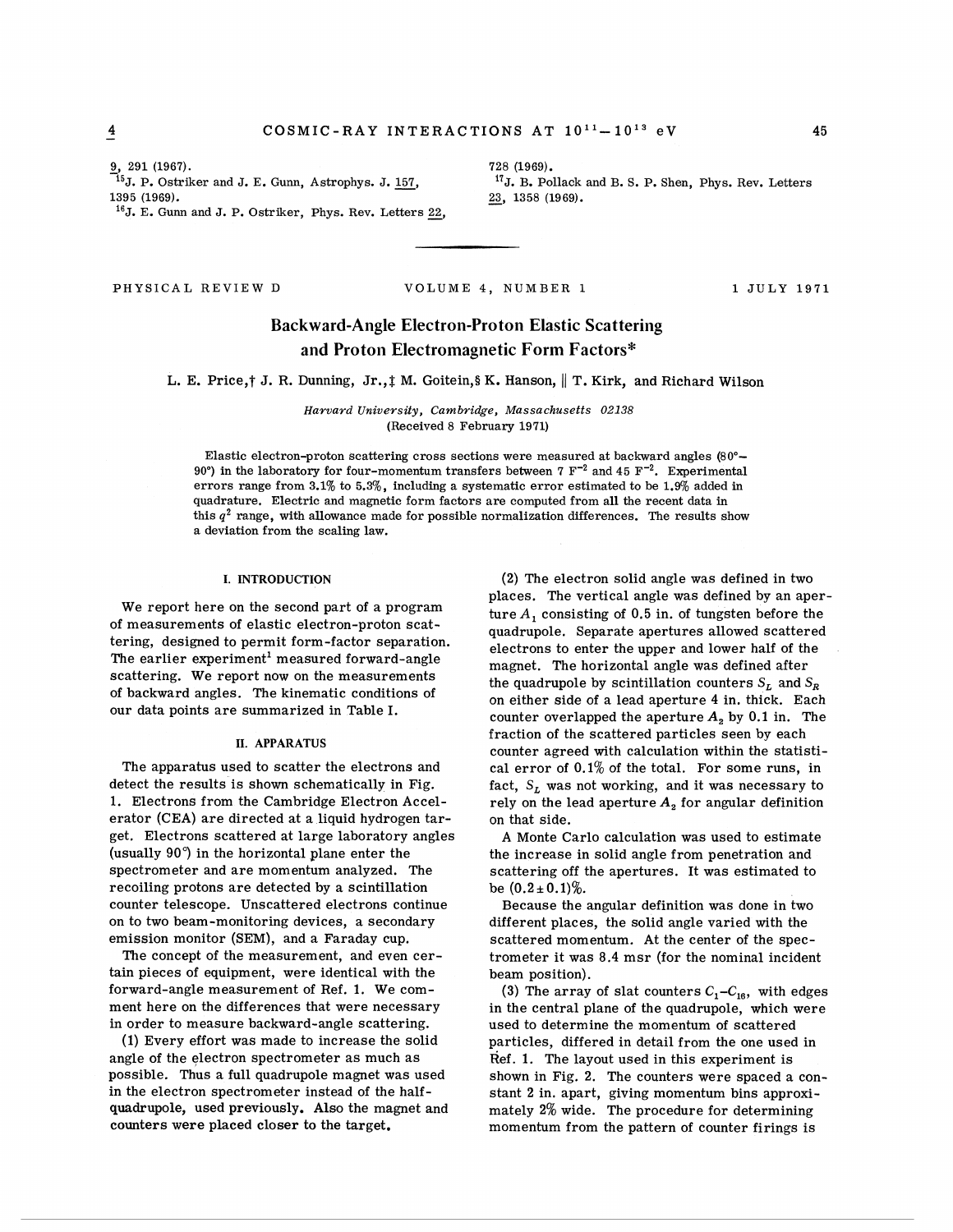<sup>16</sup>J. E. Gunn and J. P. Ostriker, Phys. Rev. Letters 22,

**9, 291 (1967).**<br>
<sup>15</sup>J. P. Ostriker and J. E. Gunn, Astrophys. J. <u>157</u>, <sup>17</sup>J. B. Pollack and B. S. P. Shen, Phys. Rev. Letters <br>
<sup>18</sup>5 (1969). <sup>17</sup>J. B. Pollack and B. S. P. Shen, Phys. Rev. Letters **23**, 1358 (1969).

# PHYSICAL REVIEW D VOLUME **4,** NUMBER **1 1** JULY **1971**

# **Backward-Angle Electron-Proton Elastic Scattering**  and Proton Electromagnetic Form Factors\*

L. E. Price,† J. R. Dunning, Jr.,<u>†</u> M. Goitein,§ K. Hanson, || T. Kirk, and Richard Wilson

*Haruard University, Cambridge, Massachusetts 02138*  (Received **8** February **1971)** 

Elastic electron-proton scattering cross sections were measured at backward angles **(80"- 90")** in the laboratory for four-momentum transfers between 7 **F-2** and **45** F-'. Experimental errors range from **3.1%** to **5.39'0,** including a systematic error estimated to be **1.9%** added in quadrature. Electric and magnetic form factors are computed from all the recent data in this  $q^2$  range, with allowance made for possible normalization differences. The results show a deviation from the scaling law.

### **I. INTRODUCTION**

We report here on the second part of a program of measurements of elastic electron-proton scattering, designed to permit form-factor separation. The earlier experiment' measured forward-angle scattering. We report now on the measurements of backward angles. The kinematic conditions of our data points are summarized in Table I.

### **11. APPARATUS**

The apparatus used to scatter the electrons and detect the results is shown schematically in Fig. 1. Electrons from the Cambridge Electron Accelerator (CEA) are directed at a liquid hydrogen target. Electrons scattered at large laboratory angles (usually 90") in the horizontal plane enter the spectrometer and are momentum analyzed. The recoiling protons are detected by a scintillation counter telescope. Unscattered electrons continue on to two beam-monitoring devices, a secondary emission monitor (SEM), and a Faraday cup.

The concept of the measurement, and even certain pieces of equipment, were identical with the forward-angle measurement of Ref. 1. We comment here on the differences that were necessary in order to measure backward-angle scattering.

(1) Every effort was made to increase the solid angle of the electron spectrometer as much as possible. Thus a full quadrupole magnet was used in the electron spectrometer instead of the halfquadrupole, used previously. Also the magnet and counters were placed closer to the target.

(2) The electron solid angle was defined in two places. The vertical angle was defined by an aperture  $A_1$  consisting of 0.5 in. of tungsten before the quadrupole. Separate apertures allowed scattered electrons to enter the upper and lower half of the magnet. The horizontal angle was defined after the quadrupole by scintillation counters  $S_L$  and  $S_R$ on either side of a lead aperture 4 in. thick. Each counter overlapped the aperture  $A_2$  by 0.1 in. The fraction of the scattered particles seen by each counter agreed with calculation within the statistical error of  $0.1\%$  of the total. For some runs, in fact,  $S_L$  was not working, and it was necessary to rely on the lead aperture  $A_2$  for angular definition on that side.

**A** Monte Carlo calculation was used to estimate the increase in solid angle from penetration and scattering off the apertures. It was estimated to be  $(0.2 \pm 0.1)\%$ .

Because the angular definition was done in two different places, the solid angle varied with the scattered momentum. At the center of the spectrometer it was 8.4 msr (for the nominal incident beam position).

(3) The array of slat counters  $C_1 - C_{16}$ , with edges in the central plane of the quadrupole, which were used to determine the momentum of scattered particles, differed in detail from the one used in Ref. 1. The layout used in this experiment is shown in Fig. 2. The counters were spaced a constant 2 in, apart, giving momentum bins approximately 2% wide. The procedure for determining momentum from the pattern of counter firings is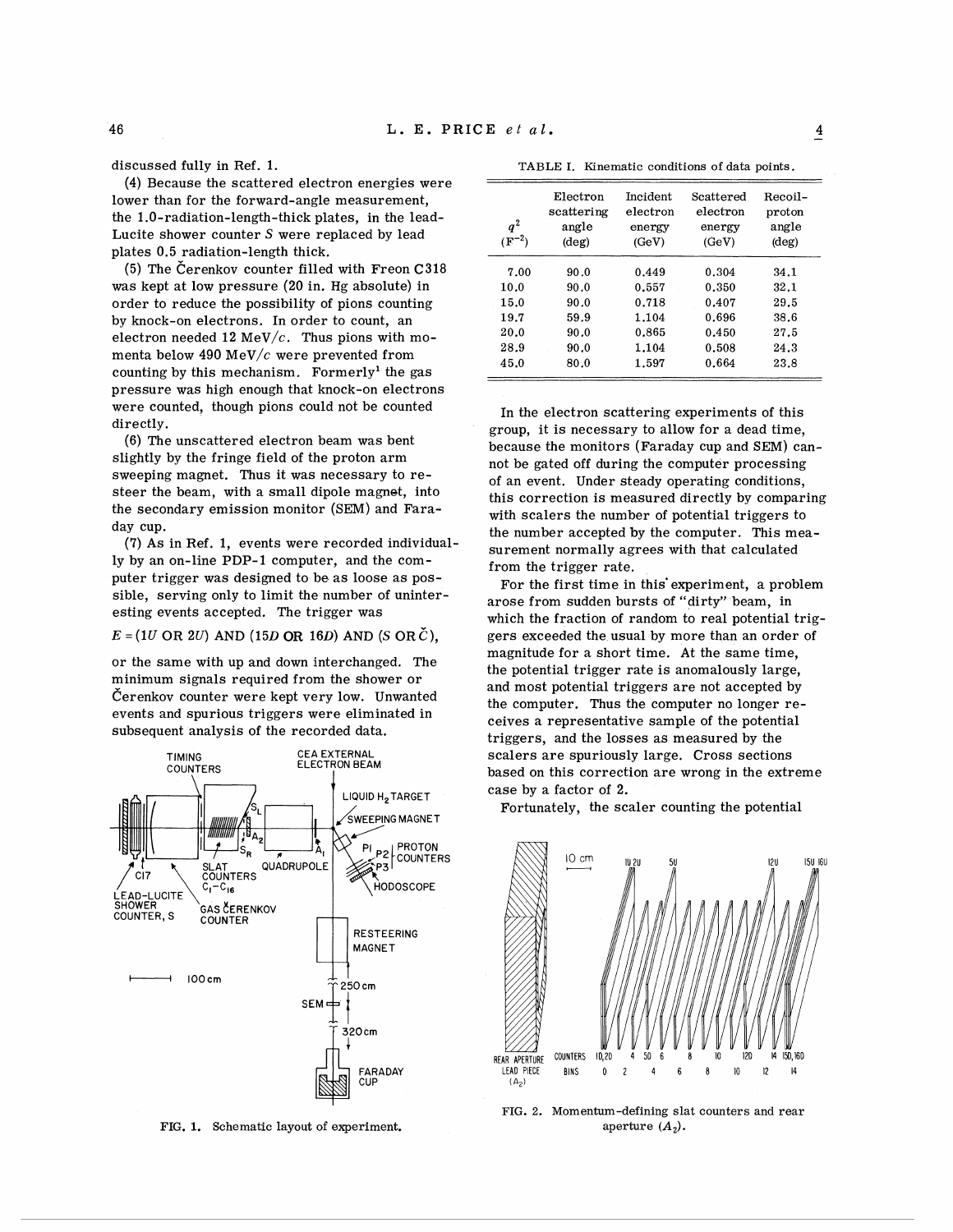(4) Because the scattered electron energies were lower than for the forward-angle measurement, the 1.0-radiation-length-thick plates, in the lead-Lucite shower counter *S* were replaced by lead plates 0.5 radiation-length thick.

(5) The Čerenkov counter filled with Freon  $C318$ was kept at low pressure (20 in. Hg absolute) in order to reduce the possibility of pions counting by knock-on electrons. In order to count, an electron needed 12 MeV/ $c$ . Thus pions with momenta below 490 MeV/c were prevented from counting by this mechanism. Formerly<sup>1</sup> the gas pressure was high enough that knock-on electrons were counted, though pions could not be counted directly.

(6) The unscattered electron beam was bent slightly by the fringe field of the proton arm sweeping magnet. Thus it was necessary to resteer the beam, with a small dipole magnet, into the secondary emission monitor (SEM) and Faraday cup.

**(7)** As in Ref. 1, events were recorded individually by an on-line PDP-I computer, and the computer trigger was designed to be as loose as possible, serving only to limit the number of uninteresting events accepted. The trigger was

# $E = (1U \text{ OR } 2U)$  AND  $(15D \text{ OR } 16D)$  AND  $(S \text{ OR } C)$ ,

or the same with up and down interchanged. The minimum signals required from the shower or Cerenkov counter were kept very low. Unwanted events and spurious triggers were eliminated in subsequent analysis of the recorded data.



FIG. 1. Schematic layout of experiment.

| --------<br>Tunomatic conditions of data pornes.     |                                                      |                                                             |                                                             |                                                      |  |  |  |
|------------------------------------------------------|------------------------------------------------------|-------------------------------------------------------------|-------------------------------------------------------------|------------------------------------------------------|--|--|--|
| $q^2$<br>$(F^{-2})$                                  | Electron<br>scattering<br>angle<br>$(\text{deg})$    | Incident<br>electron<br>energy<br>(GeV)                     | Scattered<br>electron<br>energy<br>(GeV)                    | Recoil-<br>proton<br>angle<br>$(\text{deg})$         |  |  |  |
| 7.00<br>10.0<br>15.0<br>19.7<br>20.0<br>28.9<br>45.0 | 90.0<br>90.0<br>90.0<br>59.9<br>90.0<br>90.0<br>80.0 | 0.449<br>0.557<br>0.718<br>1.104<br>0.865<br>1.104<br>1.597 | 0.304<br>0.350<br>0.407<br>0.696<br>0.450<br>0.508<br>0.664 | 34.1<br>32.1<br>29.5<br>38.6<br>27.5<br>24.3<br>23.8 |  |  |  |

Kinematic conditions of data points

In the electron scattering experiments of this group, it is necessary to allow for a dead time, because the monitors (Faraday cup and SEM) cannot be gated off during the computer processing of an event. Under steady operating conditions, this correction is measured directly by comparing with scalers the number of potential triggers to the number accepted by the computer. This measurement normally agrees with that calculated from the trigger rate.

For the first time in this'experiment, a problem arose from sudden bursts of "dirty" beam, in which the fraction of random to real potential triggers exceeded the usual by more than an order of magnitude for a short time. At the same time, the potential trigger rate is anomalously large, and most potential triggers are not accepted by the computer. Thus the computer no longer receives a representative sample of the potential triggers, and the losses as measured by the scalers are spuriously large. Cross sections based on this correction are wrong in the extreme case by a factor of 2.

Fortunately, the scaler counting the potential



FIG. 2. Momentum-defining slat counters and rear aperture  $(A_2)$ .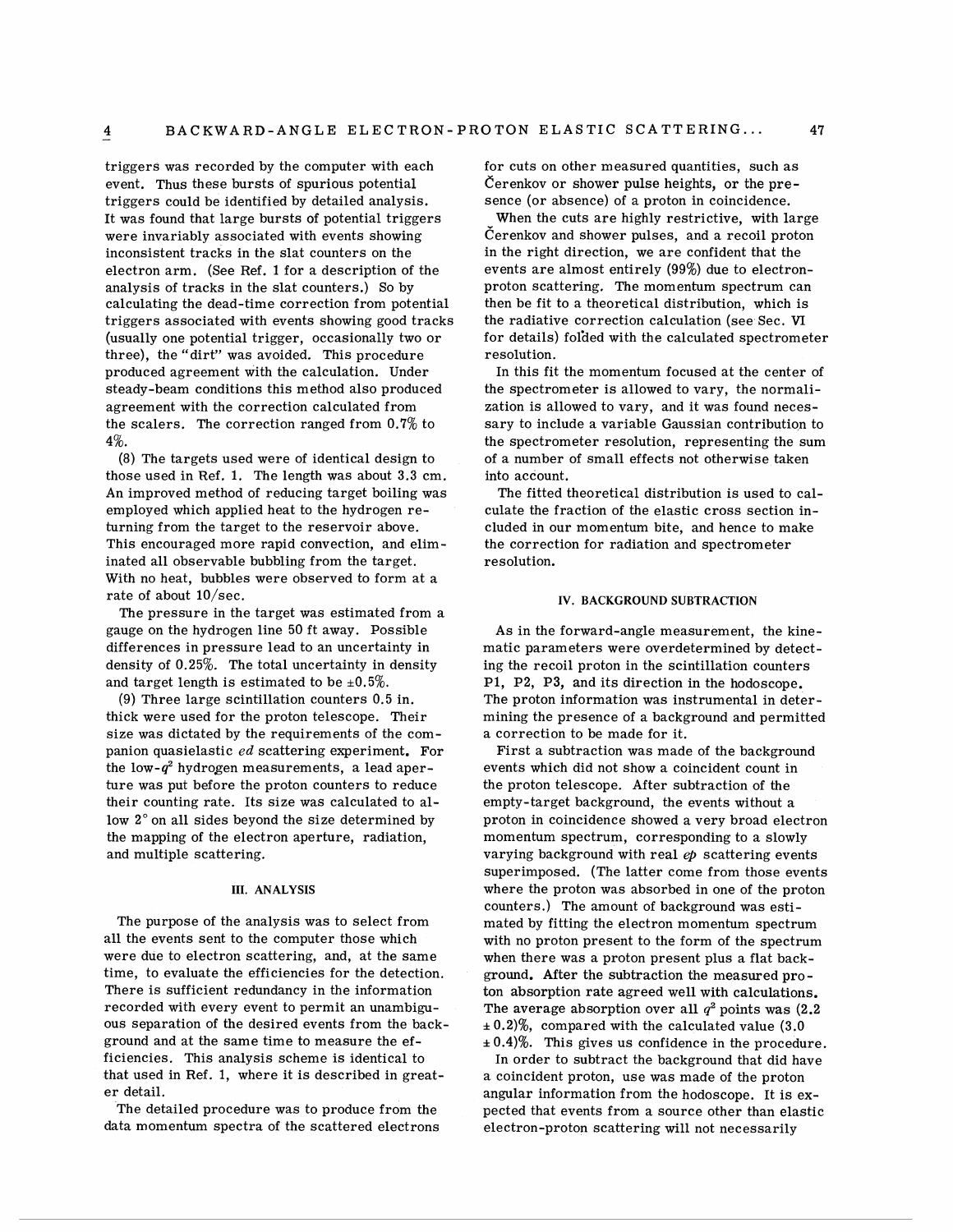triggers was recorded by the computer with each event. Thus these bursts of spurious potential triggers could be identified by detailed analysis. It was found that large bursts of potential triggers were invariably associated with events showing inconsistent tracks in the slat counters on the electron arm. (See Ref. 1 for a description of the analysis of tracks in the slat counters.) So by calculating the dead-time correction from potential triggers associated with events showing good tracks (usually one potential trigger, occasionally two or three), the "dirt" was avoided. This procedure produced agreement with the calculation. Under steady-beam conditions this method also produced agreement with the correction calculated from the scalers. The correction ranged from 0.7% to 4%.

(8) The targets used were of identical design to those used in Ref. 1. The length was about 3.3 cm. An improved method of reducing target boiling was employed which applied heat to the hydrogen returning from the target to the reservoir above. This encouraged more rapid convection, and eliminated all observable bubbling from the target. With no heat, bubbles were observed to form at a rate of about IO/sec.

The pressure in the target was estimated from a gauge on the hydrogen line 50 ft away. Possible differences in pressure lead to an uncertainty in density of 0.25%. The total uncertainty in density and target length is estimated to be  $\pm 0.5\%$ .

(9) Three large scintillation counters 0.5 in. thick were used for the proton telescope. Their size was dictated by the requirements of the companion quasielastic ed scattering experiment. For the low- $q^2$  hydrogen measurements, a lead aperture was put before the proton counters to reduce their counting rate. Its size was calculated to allow 2" on all sides beyond the size determined by the mapping of the electron aperture, radiation, and multiple scattering.

#### **111. ANALYSIS**

The purpose of the analysis was to select from all the events sent to the computer those which were due to electron scattering, and, at the same time, to evaluate the efficiencies for the detection. There is sufficient redundancy in the information recorded with every event to permit an unambiguous separation of the desired events from the background and at the same time to measure the efficiencies. This analysis scheme is identical to that used in Ref. 1, where it is described in greater detail.

The detailed procedure was to produce from the data momentum spectra of the scattered electrons for cuts on other measured quantities, such as  $C$ erenkov or shower pulse heights, or the presence (or absence) of a proton in coincidence.

When the cuts are highly restrictive, with large Cerenkov and shower pulses, and a recoil proton in the right direction, we are confident that the events are almost entirely (99%) due to electronproton scattering. The momentum spectrum can then be fit to a theoretical distribution, which is the radiative correction calculation (see Sec. **VI**  for details) fol'ded with the calculated spectrometer resolution.

In this fit the momentum focused at the center of the spectrometer is allowed to vary, the normalization is allowed to vary, and it was found necessary to include a variable Gaussian contribution to the spectrometer resolution, representing the sum of a number of small effects not otherwise taken into account.

The fitted theoretical distribution is used to calculate the fraction of the elastic cross section included in our momentum bite, and hence to make the correction for radiation and spectrometer resolution.

### **IV. BACKGROUND SUBTRACTION**

As in the forward-angle measurement, the kinematic parameters were overdetermined by detecting the recoil proton in the scintillation counters PI, P2, P3, and its direction in the hodoscope. The proton information was instrumental in determining the presence of a background and permitted a correction to be made for it.

First a subtraction was made of the background events which did not show a coincident count in the proton telescope. After subtraction of the empty-target background, the events without a proton in coincidence showed a very broad electron momentum spectrum, corresponding to a slowly varying background with real  $ep$  scattering events superimposed. (The latter come from those events where the proton was absorbed in one of the proton counters.) The amount of background was estimated by fitting the electron momentum spectrum with no proton present to the form of the spectrum when there was a proton present plus a flat background. After the subtraction the measured proton absorption rate agreed well with calculations. The average absorption over all  $q^2$  points was (2.2) **i** 0.2)%, compared with the calculated value (3.0  $\pm 0.4$ %. This gives us confidence in the procedure.

In order to subtract the background that did have a coincident proton, use was made of the proton angular information from the hodoscope. It is expected that events from a source other than elastic electron-proton scattering will not necessarily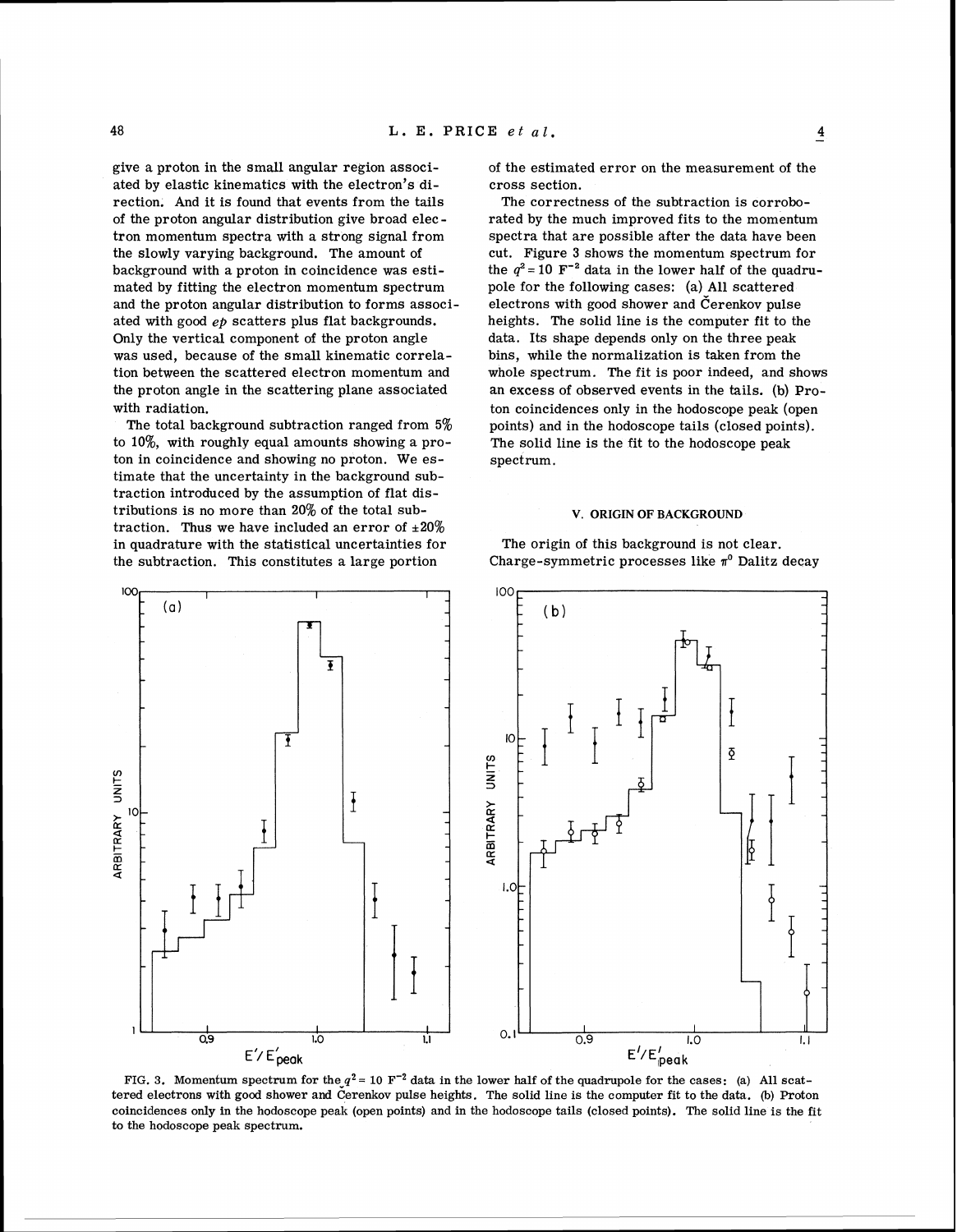$\overline{\mathbf{4}}$ 

give a proton in the small angular region associated by elastic kinematics with the electron's direction. And it is found that events from the tails of the proton angular distribution give broad elec tron momentum spectra with a strong signal from the slowly varying background. The amount of background with a proton in coincidence was estimated by fitting the electron momentum spectrum and the proton angular distribution to forms associated with good *ep* scatters plus flat backgrounds. Only the vertical component of the proton angle was used, because of the small kinematic correlation between the scattered electron momentum and the proton angle in the scattering plane associated with radiation.

The total background subtraction ranged from **5%**  to lo%, with roughly equal amounts showing a proton in coincidence and showing no proton. We estimate that the uncertainty in the background subtraction introduced by the assumption of flat distributions is no more than 20% of the total subtraction. Thus we have included an error of  $\pm 20\%$ in quadrature with the statistical uncertainties for the subtraction. This constitutes a large portion

of the estimated error on the measurement of the cross section.

The correctness of the subtraction is corroborated by the much improved fits to the momentum spectra that are possible after the data have been cut. Figure **3** shows the momentum spectrum for the  $q^2 = 10$   $\text{F}^{-2}$  data in the lower half of the quadrupole for the following cases: (a) All scattered electrons with good shower and Cerenkov pulse heights. The solid line is the computer fit to the data. Its shape depends only on the three peak bins, while the normalization is taken from the whole spectrum, The fit is poor indeed, and shows an excess of observed events in the tails. (b) Proton coincidences only in the hodoscope peak (open points) and in the hodoscope tails (closed points). The solid line is the fit to the hodoscope peak spectrum.

### **V. ORIGIN OF BACKGROUND**

The origin of this background is not clear. Charge-symmetric processes like  $\pi^0$  Dalitz decay



 $100$ 

FIG. 3. Momentum spectrum for the  $q^2 = 10$  F<sup>-2</sup> data in the lower half of the quadrupole for the cases: (a) All scattered electrons with good shower and Cerenkov pulse heights. The solid line is the computer fit to the data. (b) Proton coincidences only in the hodoscope peak (open points) and in the hodoscope tails (closed points). The solid line is the fit to the hodoscope peak spectrum.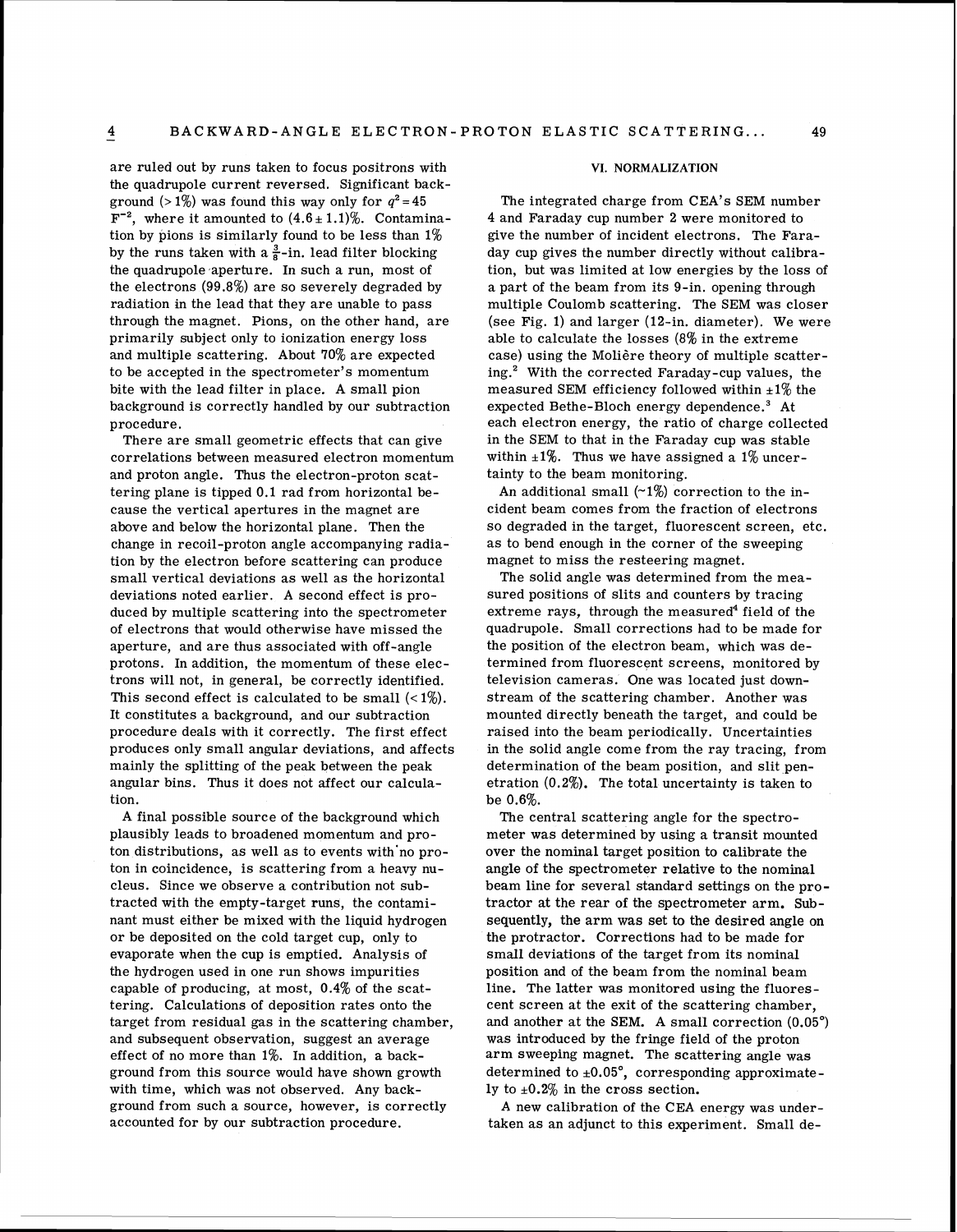are ruled out by runs taken to focus positrons with the quadrupole current reversed. Significant background (>1%) was found this way only for  $q^2 = 45$  $F^{-2}$ , where it amounted to  $(4.6 \pm 1.1)\%$ . Contamination by pions is similarly found to be less than 1% by the runs taken with a  $\frac{3}{8}$ -in. lead filter blocking the quadrupole aperture. In such a run, most of the electrons (99.8%) are so severely degraded by radiation in the lead that they are unable to pass through the magnet. Pions, on the other hand, are primarily subject only to ionization energy loss and multiple scattering. About 70% are expected to be accepted in the spectrometer's momentum bite with the lead filter in place. A small pion background is correctly handled by our subtraction procedure.

There are small geometric effects that can give correlations between measured electron momentum and proton angle. Thus the electron-proton scattering plane is tipped 0.1 rad from horizontal because the vertical apertures in the magnet are above and below the horizontal plane. Then the change in recoil-proton angle accompanying radiation by the electron before scattering can produce small vertical deviations as well as the horizontal deviations noted earlier. **A** second effect is produced by multiple scattering into the spectrometer of electrons that would otherwise have missed the aperture, and are thus associated with off-angle protons. In addition, the momentum of these electrons will not, in general, be correctly identified. This second effect is calculated to be small  $\left\langle \langle 1\% \rangle \right\rangle$ . It constitutes a background, and our subtraction procedure deals with it correctly. The first effect produces only small angular deviations, and affects mainly the splitting of the peak between the peak angular bins. Thus it does not affect our calculation.

A final possible source of the background which plausibly leads to broadened momentum and proton distributions, as well as to events with'no proton in coincidence, is scattering from a heavy nucleus. Since we observe a contribution not subtracted with the empty-target runs, the contaminant must either be mixed with the liquid hydrogen or be deposited on the cold target cup, only to evaporate when the cup is emptied. Analysis of the hydrogen used in one run shows impurities capable of producing, at most, 0.4% of the scattering. Calculations of deposition rates onto the target from residual gas in the scattering chamber, and subsequent observation, suggest an average effect of no more than 1%. In addition, a background from this source would have shown growth with time, which was not observed. Any background from such a source, however, is correctly accounted for by our subtraction procedure.

### **VI. NORMALIZATION**

The integrated charge from CEA's SEM number 4 and Faraday cup number 2 were monitored to give the number of incident electrons. The Faraday cup gives the number directly without calibration, but was limited at low energies by the loss of a part of the beam from its 9-in. opening through multiple Coulomb scattering. The SEM was closer (see Fig. 1) and larger (12-in. diameter). We were able to calculate the losses (8% in the extreme case) using the Molière theory of multiple scattering.' With the corrected Faraday-cup values, the measured SEM efficiency followed within  $\pm 1\%$  the expected Bethe-Bloch energy dependence. $^3$  At each electron energy, the ratio of charge collected in the SEM to that in the Faraday cup was stable within  $\pm 1\%$ . Thus we have assigned a 1% uncertainty to the beam monitoring.

An additional small  $(2\%)$  correction to the incident beam comes from the fraction of electrons so degraded in the target, fluorescent screen, etc. as to bend enough in the corner of the sweeping magnet to miss the resteering magnet.

The solid angle was determined from the measured positions of slits and counters by tracing extreme rays, through the measured<sup>4</sup> field of the quadrupole. Small corrections had to be made for the position of the electron beam, which was determined from fluorescent screens, monitored by television cameras. One was located just downstream of the scattering chamber. Another was mounted directly beneath the target, and could be raised into the beam periodically. Uncertainties in the solid angle come from the ray tracing, from determination of the beam position, and slit penetration (0.2%). The total uncertainty is taken to be 0.6%.

The central scattering angle for the spectrometer was determined by using a transit mounted over the nominal target position to calibrate the angle of the spectrometer relative to the nominal beam line for several standard settings on the protractor at the rear of the spectrometer arm. Subsequently, the arm was set to the desired angle on the protractor. Corrections had to be made for small deviations of the target from its nominal position and of the beam from the nominal beam line. The latter was monitored using the fluorescent screen at the exit of the scattering chamber, and another at the SEM. A small correction (0.05') was introduced by the fringe field of the proton arm sweeping magnet. The scattering angle was determined to  $\pm 0.05^\circ$ , corresponding approximately to  $\pm 0.2\%$  in the cross section.

A new calibration of the CEA energy was undertaken as an adjunct to this experiment. Small de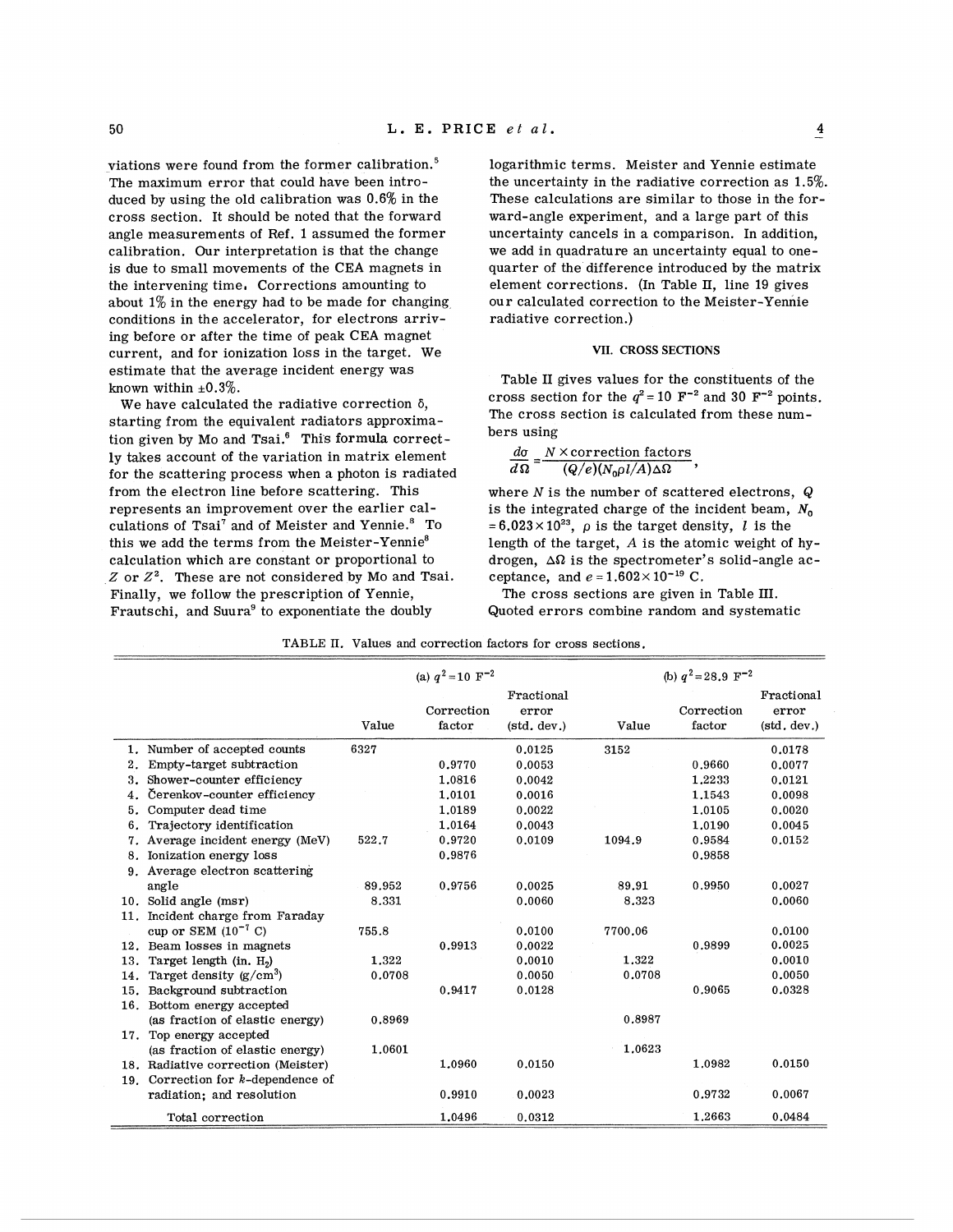viations were found from the former calibration. $5$ The maximum error that could have been introduced by using the old calibration was **0.6%** in the cross section. It should be noted that the forward angle measurements of Ref. **1** assumed the former calibration. Our interpretation is that the change is due to small movements of the CEA magnets in the intervening time, Corrections amounting to about  $1\%$  in the energy had to be made for changing conditions in the accelerator, for electrons arriving before or after the time of peak CEA magnet current, and for ionization loss in the target. We

starting from the equivalent radiators approxima- The cross tion given by Mo and Tsai. $^6$  This formula correctly takes account of the variation in matrix element  $\frac{d\sigma}{d\Omega} = \frac{N \times \text{correction factors}}{(Q/e)(N_0\rho l/A)\Delta\Omega}$ , for the scattering process when a photon is radiated from the electron line before scattering. This represents an improvement over the earlier calculations of Tsai<sup>7</sup> and of Meister and Yennie.<sup>8</sup> To this we add the terms from the Meister-Yennie<sup>8</sup> calculation which are constant or proportional to  $Z$  or  $Z<sup>2</sup>$ . These are not considered by Mo and Tsai. Finally, we follow the prescription of Yennie, Frautschi, and Suura<sup>9</sup> to exponentiate the doubly

logarithmic terms. Meister and Yennie estimate the uncertainty in the radiative correction as **1.5%.**  These calculations are similar to those in the forward-angle experiment, and a large part of this uncertainty cancels in a comparison. In addition, we add in quadrature an uncertainty equal to onequarter of the difference introduced by the matrix element corrections. (In Table **11,** line 19 gives our calculated correction to the Meister-Yennie radiative correction.)

# **VII. CROSS SECTIONS**

estimate that the average incident energy was<br>
known within  $\pm 0.3\%$ .<br>
We have calculated the radiative correction  $\delta$ ,<br>  $\Delta$  cross section for the  $q^2 = 10 \text{ F}^{-2}$  and 30 F<sup>-2</sup> points cross section for the  $q^2 = 10$  F<sup>-2</sup> and 30 F<sup>-2</sup> points.<br>The cross section is calculated from these num-

where  $N$  is the number of scattered electrons,  $Q$ is the integrated charge of the incident beam,  $N_0$  $= 6.023 \times 10^{23}$ ,  $\rho$  is the target density, *l* is the length of the target,  $A$  is the atomic weight of hydrogen.  $\Delta\Omega$  is the spectrometer's solid-angle acceptance, and  $e = 1.602 \times 10^{-19}$  C.

The cross sections are given in Table III. Quoted errors combine random and systematic

|  | TABLE II. Values and correction factors for cross sections. |  |  |  |  |  |
|--|-------------------------------------------------------------|--|--|--|--|--|
|--|-------------------------------------------------------------|--|--|--|--|--|

|     |                                       |        | (a) $a^2$ = 10 $\text{F}^{-2}$ |                                    |         | (b) $q^2 = 28.9 \text{ F}^{-2}$ |                                    |
|-----|---------------------------------------|--------|--------------------------------|------------------------------------|---------|---------------------------------|------------------------------------|
|     |                                       | Value  | Correction<br>factor           | Fractional<br>error<br>(std, dev.) | Value   | Correction<br>factor            | Fractional<br>error<br>(std, dev.) |
|     | 1. Number of accepted counts          | 6327   |                                | 0.0125                             | 3152    |                                 | 0.0178                             |
| 2.  | Empty-target subtraction              |        | 0.9770                         | 0.0053                             |         | 0.9660                          | 0.0077                             |
| 3.  | Shower-counter efficiency             |        | 1.0816                         | 0.0042                             |         | 1.2233                          | 0.0121                             |
| 4.  | Čerenkov-counter efficiency           |        | 1,0101                         | 0.0016                             |         | 1.1543                          | 0.0098                             |
| 5.  | Computer dead time                    |        | 1.0189                         | 0.0022                             |         | 1.0105                          | 0.0020                             |
| 6.  | Trajectory identification             |        | 1.0164                         | 0.0043                             |         | 1.0190                          | 0.0045                             |
| 7.  | Average incident energy (MeV)         | 522.7  | 0.9720                         | 0.0109                             | 1094.9  | 0.9584                          | 0.0152                             |
|     | 8. Ionization energy loss             |        | 0.9876                         |                                    |         | 0.9858                          |                                    |
|     | 9. Average electron scattering        |        |                                |                                    |         |                                 |                                    |
|     | angle                                 | 89.952 | 0.9756                         | 0.0025                             | 89.91   | 0.9950                          | 0.0027                             |
|     | 10. Solid angle (msr)                 | 8.331  |                                | 0.0060                             | 8.323   |                                 | 0.0060                             |
| 11. | Incident charge from Faraday          |        |                                |                                    |         |                                 |                                    |
|     | cup or SEM $(10^{-7} \text{ C})$      | 755.8  |                                | 0.0100                             | 7700.06 |                                 | 0.0100                             |
|     | 12. Beam losses in magnets            |        | 0.9913                         | 0.0022                             |         | 0.9899                          | 0.0025                             |
| 13. | Target length $(in, H2)$              | 1.322  |                                | 0.0010                             | 1.322   |                                 | 0.0010                             |
| 14. | Target density $(g/cm^3)$             | 0.0708 |                                | 0.0050                             | 0.0708  |                                 | 0.0050                             |
| 15. | Background subtraction                |        | 0.9417                         | 0.0128                             |         | 0.9065                          | 0.0328                             |
|     | 16. Bottom energy accepted            |        |                                |                                    |         |                                 |                                    |
|     | (as fraction of elastic energy)       | 0.8969 |                                |                                    | 0.8987  |                                 |                                    |
|     | 17. Top energy accepted               |        |                                |                                    |         |                                 |                                    |
|     | (as fraction of elastic energy)       | 1.0601 |                                |                                    | 1.0623  |                                 |                                    |
|     | 18. Radiative correction (Meister)    |        | 1.0960                         | 0.0150                             |         | 1.0982                          | 0.0150                             |
|     | 19. Correction for $k$ -dependence of |        |                                |                                    |         |                                 |                                    |
|     | radiation; and resolution             |        | 0.9910                         | 0.0023                             |         | 0.9732                          | 0.0067                             |
|     | Total correction                      |        | 1.0496                         | 0.0312                             |         | 1.2663                          | 0.0484                             |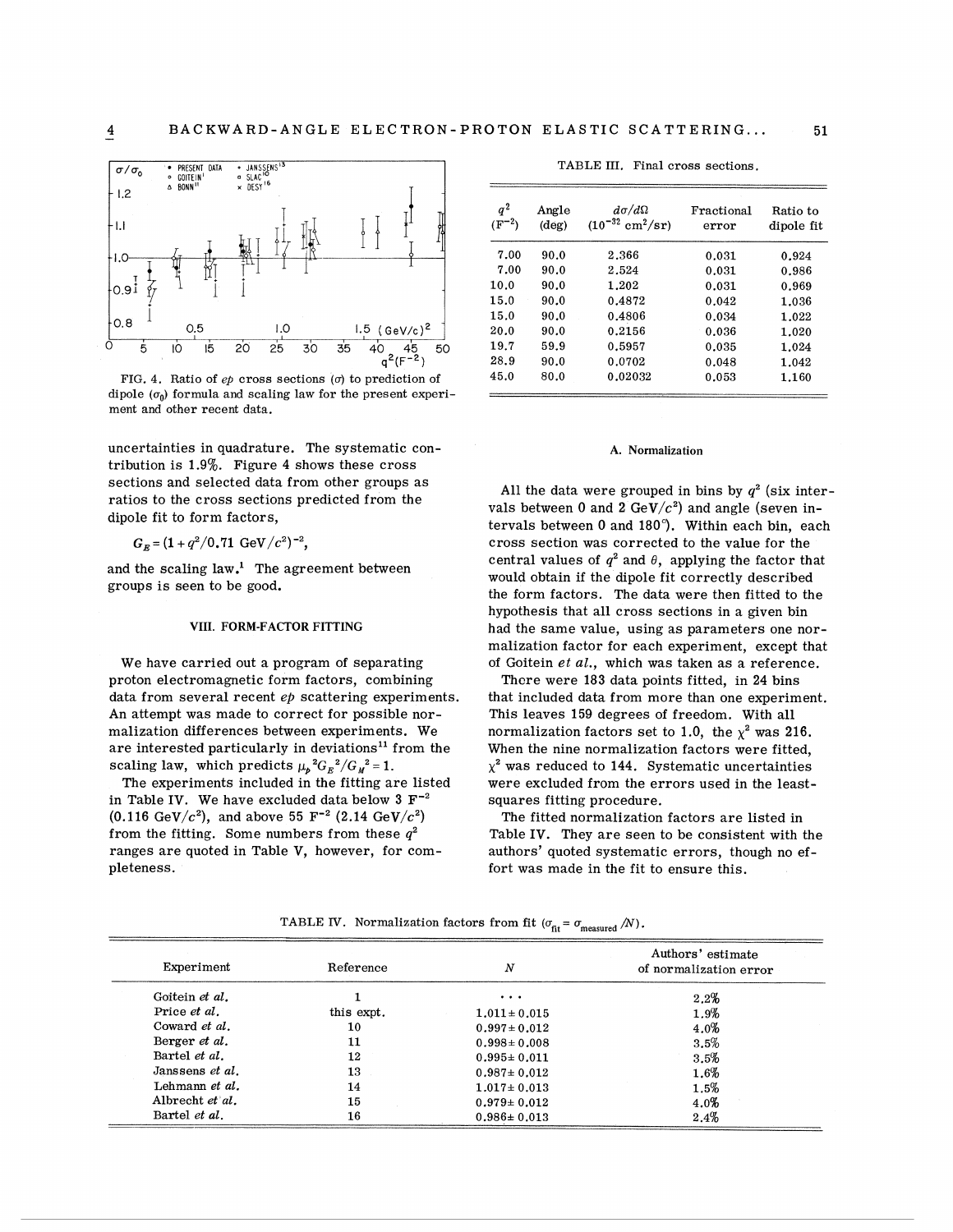

FIG. 4, Ratio of  $ep$  cross sections ( $\sigma$ ) to prediction of  $45.0$  80.0 0.02032 0.053 1.160 dipole  $(\sigma_0)$  formula and scaling law for the present experiment and other recent data.

uncertainties in quadrature. The systematic contribution is 1.9%. Figure 4 shows these cross sections and selected data from other groups as<br>
ratios to the cross sections predicted from the<br>
dipole fit to form factors,<br>
dipole fit to form factors,<br>
each<br>
dipole fit to form factors,<br>
dipole fit to form factors,

$$
G_{\kappa} = (1 + q^2/0.71 \text{ GeV}/c^2)^{-2},
$$

and the scaling  $law<sup>1</sup>$ . The agreement between groups is seen to be good.

# VIII. FORM-FACTOR FITTING

We have carried out a program of separating proton electromagnetic form factors, combining data from several recent ep scattering experiments. An attempt was made to correct for possible normalization differences between experiments. We are interested particularly in deviations<sup>11</sup> from the scaling law, which predicts  $\mu_p^2 G_E^2/G_M^2 = 1$ .

The experiments included in the fitting are listed in Table IV. We have excluded data below  $3 F^{-2}$  $(0.116 \text{ GeV}/c^2)$ , and above 55 F<sup>-2</sup> (2.14 GeV/c<sup>2</sup>) from the fitting. Some numbers from these  $q^2$ ranges are quoted in Table V, however, for completeness.

*q*<sup>2</sup> Angle  $d\sigma/d\Omega$  Fractional Ratio to <br>(F<sup>-2</sup>) (deg) (10<sup>-32</sup> cm<sup>2</sup>/sr) error dipole fit  $(10^{-32}~\text{cm}^2/\text{sr})$  error 7.00 90.0 2.366 0.031 0.924 7.00 90.0 2.524 0.031 0.986 10.0 90.0 1.202 0.031 0.969

TABLE III. Final cross sections.

15.0 90.0 0.4872 0.042 1.036<br>15.0 90.0 0.4806 0.034 1.022 15.0 90.0 0.4806 0.034 1.022

#### A. Normalization

 $G_F = (1 + q^2/0.71 \text{ GeV}/c^2)^{-2}$ , cross section was corrected to the value for the central values of  $q^2$  and  $\theta$ , applying the factor that would obtain if the dipole fit correctly described the form factors. The data were then fitted to the hypothesis that all cross sections in a given bin had the same value, using as parameters one normalization factor for each experiment, except that of Goitein *et* al., which was taken as a reference.

> There were 183 data points fitted, in 24 bins that included data from more than one experiment. This leaves 159 degrees of freedom. With all normalization factors set to 1.0, the  $\chi^2$  was 216. When the nine normalization factors were fitted,  $\chi^2$  was reduced to 144. Systematic uncertainties were excluded from the errors used in the leastsquares fitting procedure.

The fitted normalization factors are listed in Table IV. They are seen to be consistent with the authors' quoted systematic errors, though no effort was made in the fit to ensure this.

TABLE IV. Normalization factors from fit  $(\sigma_{\text{fit}} = \sigma_{\text{measured}}/N)$ .

| Experiment           | Reference  | N                 | Authors' estimate<br>of normalization error |
|----------------------|------------|-------------------|---------------------------------------------|
| Goitein et al.       |            | $\cdots$          | 2.2%                                        |
| Price et al.         | this expt. | $1.011 \pm 0.015$ | 1.9%                                        |
| Coward et al.        | 10         | $0.997 \pm 0.012$ | $4.0\%$                                     |
| Berger et al.        | 11         | $0.998 \pm 0.008$ | 3.5%                                        |
| Bartel <i>et al.</i> | 12         | $0.995 \pm 0.011$ | 3.5%                                        |
| Janssens et al.      | 13         | $0.987 \pm 0.012$ | 1.6%                                        |
| Lehmann et al.       | 14         | $1.017 \pm 0.013$ | 1.5%                                        |
| Albrecht et al.      | 15         | $0.979 \pm 0.012$ | 4.0%                                        |
| Bartel et al.        | 16         | $0.986 \pm 0.013$ | 2.4%                                        |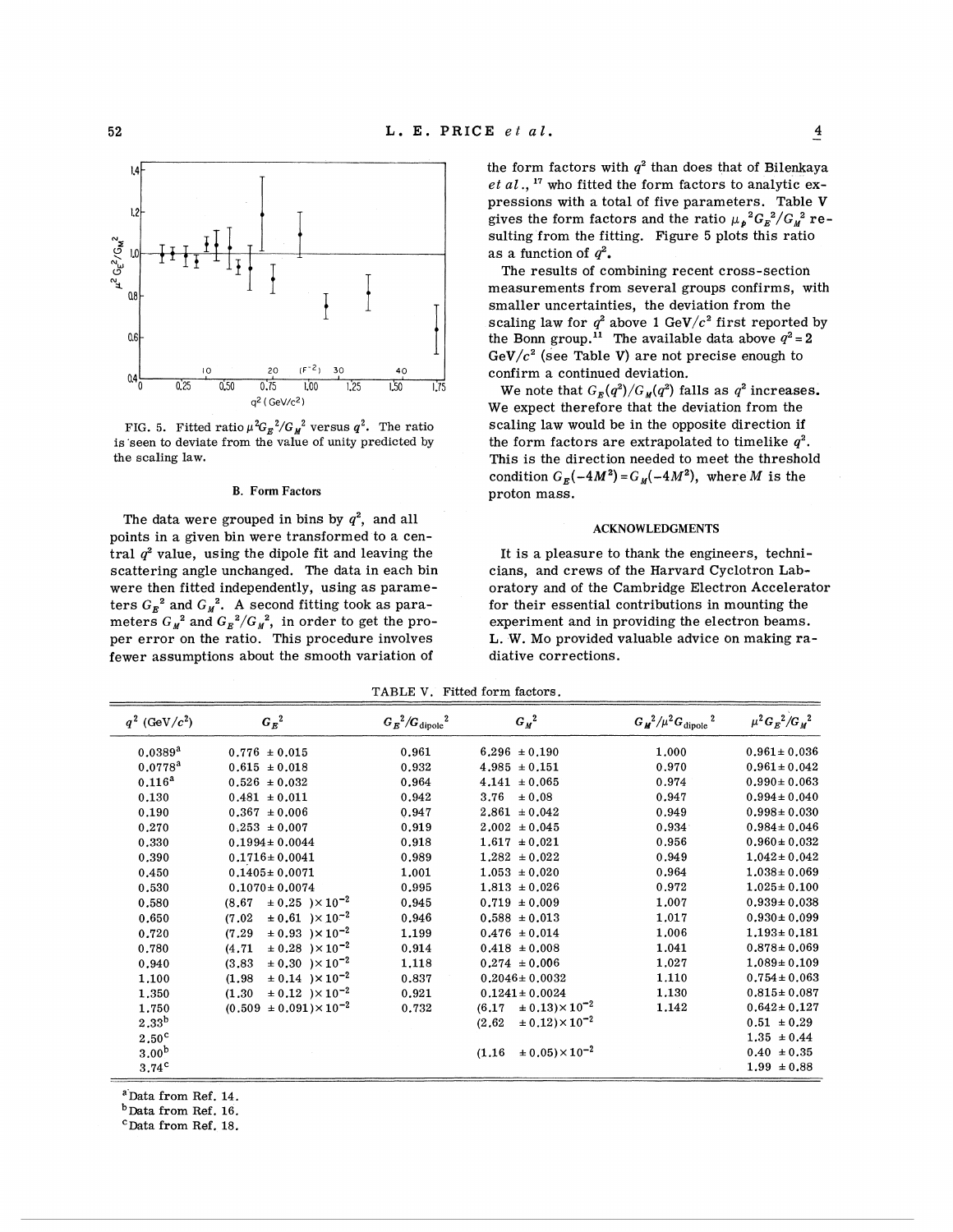

The data were grouped in bins by  $q^2$ , and all points in a given bin were transformed to a central  $q^2$  value, using the dipole fit and leaving the scattering angle unchanged. The data in each bin were then fitted independently, using as parameters  $G_E^2$  and  $G_M^2$ . A second fitting took as parameters  $G_{\rm M}^{\phantom{12}2}$  and  $G_{\rm E}^{\phantom{2}2}/G_{\rm M}^{\phantom{2}2},\,$  in order to get the proper error on the ratio. This procedure involves fewer assumptions about the smooth variation of

the form factors with  $q^2$  than does that of Bilenkaya *et* a1 ., **l7** who fitted the form factors to analytic expressions with a total of five parameters. Table V gives the form factors and the ratio  $\mu_{p}{}^{2}G_{E}{}^{2}/G_{M}{}^{2}$  resulting from the fitting. Figure 5 plots this ratio as a function of  $q^2$ .

The results of combining recent cross-section measurements from several groups confirms, with smaller uncertainties, the deviation from the scaling law for  $q^2$  above 1 GeV $/c^{\, 2}$  first reported by the Bonn group.<sup>11</sup> The available data above  $q^2 = 2$ GeV/ $c^2$  (see Table V) are not precise enough to confirm a continued deviation.

 $0.25$   $0.50$   $0.75$  We note that  $G_E(q^2)/G_M(q^2)$  falls as  $q^2$  increases.  $q^2$  (GeV/c<sup>2</sup>) We expect therefore that the deviation from the FIG. 5. Fitted ratio  $\mu^2 G_E^2/G_M^2$  versus  $q^2$ . The ratio scaling law would be in the opposite direction if is seen to deviate from the value of unity predicted by the form factors are extrapolated to timelike  $q^2$ the form factors are extrapolated to timelike  $q^2$ . the scaling law. This is the direction needed to meet the threshold condition  $G_R(-4M^2) = G_M(-4M^2)$ , where M is the B. Form Factors proton mass.

#### **ACKNOWLEDGMENTS**

It is a pleasure to thank the engineers, technicians, and crews of the Harvard Cyclotron Laboratory and of the Cambridge Electron Accelerator for their essential contributions in mounting the experiment and in providing the electron beams. L. W. Mo provided valuable advice on making radiative corrections.

TABLE V. Fitted form factors.

| $q^2$ (GeV/ $c^2$ ) | $G_E^2$                                   | $G_E^2/G_{\rm dipole}^2$ | $G_M^2$                                 | $G_M^2/\mu^2 G_{\rm dipole}^2$ | $\mu^2 G_E^2/G_M^2$ |
|---------------------|-------------------------------------------|--------------------------|-----------------------------------------|--------------------------------|---------------------|
| $0.0389^{a}$        | $0.776 \pm 0.015$                         | 0.961                    | $6.296 \pm 0.190$                       | 1.000                          | $0.961 \pm 0.036$   |
| $0.0778^{a}$        | $0.615 \pm 0.018$                         | 0.932                    | $4.985 \pm 0.151$                       | 0.970                          | $0.961 \pm 0.042$   |
| $0.116^{\rm a}$     | $0.526 \pm 0.032$                         | 0.964                    | $4.141 \pm 0.065$                       | 0.974                          | $0.990 \pm 0.063$   |
| 0.130               | $0.481 \pm 0.011$                         | 0.942                    | 3.76 $\pm 0.08$                         | 0.947                          | $0.994 \pm 0.040$   |
| 0.190               | $0.367 \pm 0.006$                         | 0.947                    | $2.861 \pm 0.042$                       | 0.949                          | $0.998 \pm 0.030$   |
| 0.270               | $0.253 \pm 0.007$                         | 0.919                    | $2.002 \pm 0.045$                       | 0.934                          | $0.984 \pm 0.046$   |
| 0.330               | $0.1994 \pm 0.0044$                       | 0.918                    | $1.617 \pm 0.021$                       | 0.956                          | $0.960 \pm 0.032$   |
| 0.390               | $0.1716 \pm 0.0041$                       | 0.989                    | $1.282 \pm 0.022$                       | 0.949                          | $1.042 \pm 0.042$   |
| 0.450               | $0.1405 \pm 0.0071$                       | 1.001                    | $1.053 \pm 0.020$                       | 0.964                          | $1.038 \pm 0.069$   |
| 0.530               | $0.1070 \pm 0.0074$                       | 0.995                    | $1.813 \pm 0.026$                       | 0.972                          | $1.025 \pm 0.100$   |
| 0.580               | $\pm 0.25$ ) $\times 10^{-2}$<br>(8.67)   | 0.945                    | $0.719 \pm 0.009$                       | 1.007                          | $0.939 \pm 0.038$   |
| 0.650               | $\pm 0.61$ ) $\times 10^{-2}$<br>(7.02)   | 0.946                    | $0.588 \pm 0.013$                       | 1.017                          | $0.930 \pm 0.099$   |
| 0.720               | $\pm 0.93$ ) $\times 10^{-2}$<br>(7.29)   | 1.199                    | $0.476 \pm 0.014$                       | 1.006                          | $1.193 \pm 0.181$   |
| 0.780               | $\pm 0.28$ ) × 10 <sup>-2</sup><br>(4.71) | 0.914                    | $0.418 \pm 0.008$                       | 1.041                          | $0.878 \pm 0.069$   |
| 0.940               | $\pm 0.30$ ) $\times 10^{-2}$<br>(3.83)   | 1,118                    | $0.274 \pm 0.006$                       | 1,027                          | $1.089 \pm 0.109$   |
| 1,100               | $\pm 0.14$ ) $\times 10^{-2}$<br>(1.98)   | 0.837                    | $0.2046 \pm 0.0032$                     | 1.110                          | $0.754 \pm 0.063$   |
| 1,350               | $\pm 0.12$ $\times 10^{-2}$<br>(1.30)     | 0.921                    | $0.1241 \pm 0.0024$                     | 1,130                          | $0.815 \pm 0.087$   |
| 1,750               | $(0.509 \pm 0.091) \times 10^{-2}$        | 0.732                    | $\pm 0.13$ $\times 10^{-2}$<br>(6.17)   | 1.142                          | $0.642 \pm 0.127$   |
| 2.33 <sup>b</sup>   |                                           |                          | $\pm 0.12$ ) $\times 10^{-2}$<br>(2.62) |                                | $0.51 \pm 0.29$     |
| 2.50 <sup>c</sup>   |                                           |                          |                                         |                                | $1.35 \pm 0.44$     |
| 3.00 <sup>b</sup>   |                                           |                          | $(1.16 \pm 0.05) \times 10^{-2}$        |                                | $0.40 \pm 0.35$     |
| 3.74 <sup>c</sup>   |                                           |                          |                                         |                                | $1.99 \pm 0.88$     |

<sup>a</sup>Data from Ref. 14.

 $<sup>b</sup>$  Data from Ref. 16.</sup>

'Data from Ref. 18,